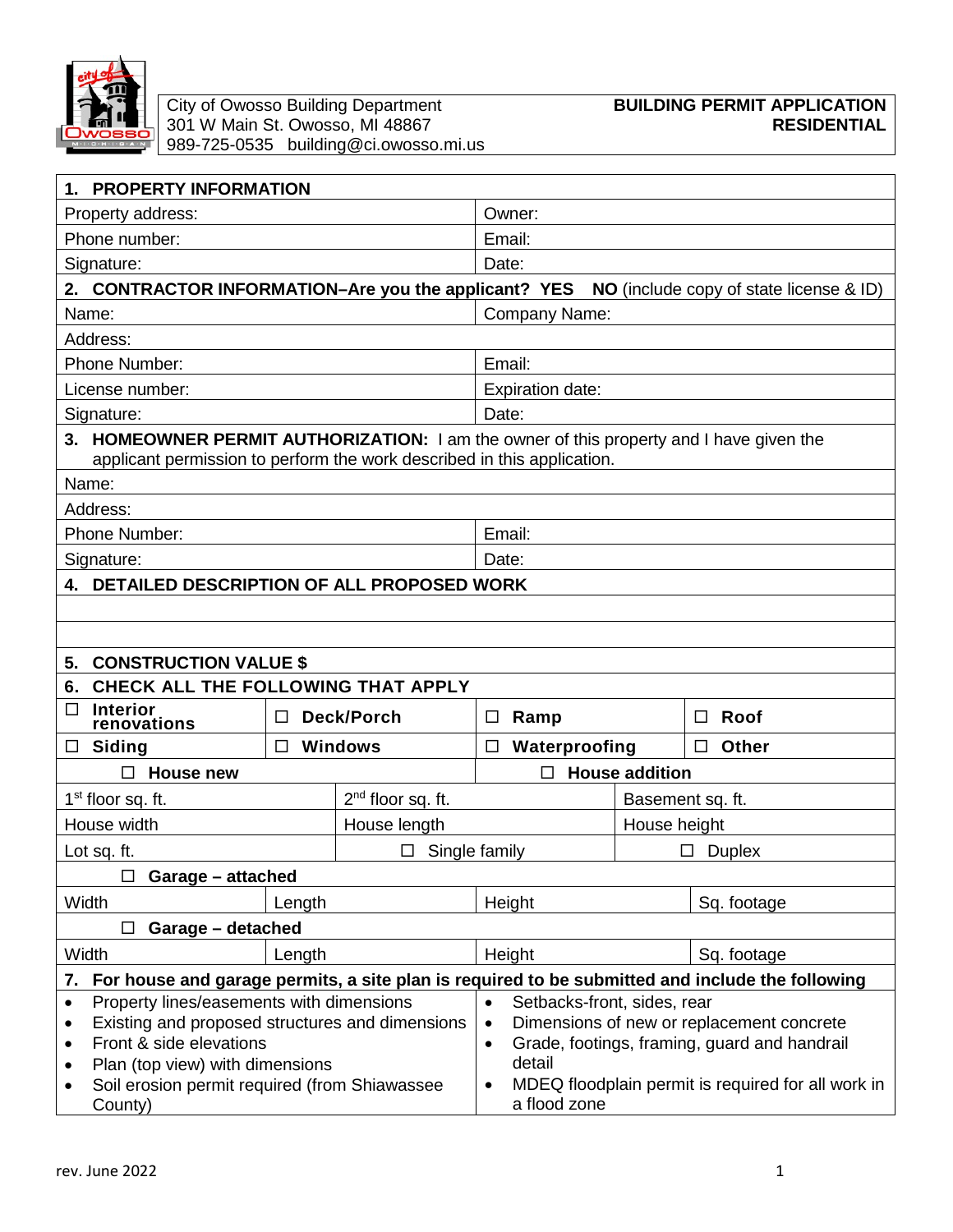

| <b>PROPERTY INFORMATION</b><br>1.                                                                                                                                                                                                                              |                 |                               |                                                                                                                                                                                                                                                              |                         |                                                                                                 |  |
|----------------------------------------------------------------------------------------------------------------------------------------------------------------------------------------------------------------------------------------------------------------|-----------------|-------------------------------|--------------------------------------------------------------------------------------------------------------------------------------------------------------------------------------------------------------------------------------------------------------|-------------------------|-------------------------------------------------------------------------------------------------|--|
| Property address:                                                                                                                                                                                                                                              |                 |                               | Owner:                                                                                                                                                                                                                                                       |                         |                                                                                                 |  |
| Phone number:                                                                                                                                                                                                                                                  |                 |                               | Email:                                                                                                                                                                                                                                                       |                         |                                                                                                 |  |
| Signature:                                                                                                                                                                                                                                                     |                 |                               | Date:                                                                                                                                                                                                                                                        |                         |                                                                                                 |  |
| 2. CONTRACTOR INFORMATION-Are you the applicant? YES<br>NO (include copy of state license & ID)                                                                                                                                                                |                 |                               |                                                                                                                                                                                                                                                              |                         |                                                                                                 |  |
| Name:                                                                                                                                                                                                                                                          |                 |                               | Company Name:                                                                                                                                                                                                                                                |                         |                                                                                                 |  |
| Address:                                                                                                                                                                                                                                                       |                 |                               |                                                                                                                                                                                                                                                              |                         |                                                                                                 |  |
| Phone Number:                                                                                                                                                                                                                                                  |                 |                               | Email:                                                                                                                                                                                                                                                       |                         |                                                                                                 |  |
| License number:                                                                                                                                                                                                                                                |                 |                               | <b>Expiration date:</b>                                                                                                                                                                                                                                      |                         |                                                                                                 |  |
| Signature:                                                                                                                                                                                                                                                     |                 |                               | Date:                                                                                                                                                                                                                                                        |                         |                                                                                                 |  |
| 3. HOMEOWNER PERMIT AUTHORIZATION: I am the owner of this property and I have given the<br>applicant permission to perform the work described in this application.                                                                                             |                 |                               |                                                                                                                                                                                                                                                              |                         |                                                                                                 |  |
| Name:                                                                                                                                                                                                                                                          |                 |                               |                                                                                                                                                                                                                                                              |                         |                                                                                                 |  |
| Address:                                                                                                                                                                                                                                                       |                 |                               |                                                                                                                                                                                                                                                              |                         |                                                                                                 |  |
| Phone Number:                                                                                                                                                                                                                                                  |                 |                               | Email:                                                                                                                                                                                                                                                       |                         |                                                                                                 |  |
| Signature:                                                                                                                                                                                                                                                     |                 |                               | Date:                                                                                                                                                                                                                                                        |                         |                                                                                                 |  |
| 4. DETAILED DESCRIPTION OF ALL PROPOSED WORK                                                                                                                                                                                                                   |                 |                               |                                                                                                                                                                                                                                                              |                         |                                                                                                 |  |
|                                                                                                                                                                                                                                                                |                 |                               |                                                                                                                                                                                                                                                              |                         |                                                                                                 |  |
|                                                                                                                                                                                                                                                                |                 |                               |                                                                                                                                                                                                                                                              |                         |                                                                                                 |  |
| <b>CONSTRUCTION VALUE \$</b><br>5.                                                                                                                                                                                                                             |                 |                               |                                                                                                                                                                                                                                                              |                         |                                                                                                 |  |
| CHECK ALL THE FOLLOWING THAT APPLY<br>6.                                                                                                                                                                                                                       |                 |                               |                                                                                                                                                                                                                                                              |                         |                                                                                                 |  |
| <b>Interior</b><br>$\Box$<br>renovations                                                                                                                                                                                                                       | Deck/Porch<br>□ |                               | Ramp<br>$\Box$                                                                                                                                                                                                                                               |                         | Roof<br>□                                                                                       |  |
| $\Box$ Siding                                                                                                                                                                                                                                                  | $\Box$          | <b>Windows</b>                | Waterproofing<br>$\Box$<br>□                                                                                                                                                                                                                                 |                         | Other                                                                                           |  |
| <b>House new</b><br>П                                                                                                                                                                                                                                          |                 |                               | <b>House addition</b>                                                                                                                                                                                                                                        |                         |                                                                                                 |  |
| 1 <sup>st</sup> floor sq. ft.                                                                                                                                                                                                                                  |                 | 2 <sup>nd</sup> floor sq. ft. |                                                                                                                                                                                                                                                              | Basement sq. ft.        |                                                                                                 |  |
| House width                                                                                                                                                                                                                                                    |                 | House length                  |                                                                                                                                                                                                                                                              | House height            |                                                                                                 |  |
| Lot sq. ft.                                                                                                                                                                                                                                                    |                 | Single family<br>□            |                                                                                                                                                                                                                                                              | <b>Duplex</b><br>$\Box$ |                                                                                                 |  |
| Garage – attached                                                                                                                                                                                                                                              |                 |                               |                                                                                                                                                                                                                                                              |                         |                                                                                                 |  |
| Width                                                                                                                                                                                                                                                          | Length          |                               | Height                                                                                                                                                                                                                                                       |                         | Sq. footage                                                                                     |  |
| Garage - detached<br>$\Box$                                                                                                                                                                                                                                    |                 |                               |                                                                                                                                                                                                                                                              |                         |                                                                                                 |  |
| Width                                                                                                                                                                                                                                                          | Length          |                               | Height                                                                                                                                                                                                                                                       |                         | Sq. footage                                                                                     |  |
| 7.                                                                                                                                                                                                                                                             |                 |                               |                                                                                                                                                                                                                                                              |                         | For house and garage permits, a site plan is required to be submitted and include the following |  |
| Property lines/easements with dimensions<br>$\bullet$<br>Existing and proposed structures and dimensions<br>٠<br>Front & side elevations<br>٠<br>Plan (top view) with dimensions<br>٠<br>Soil erosion permit required (from Shiawassee<br>$\bullet$<br>County) |                 |                               | Setbacks-front, sides, rear<br>$\bullet$<br>Dimensions of new or replacement concrete<br>$\bullet$<br>Grade, footings, framing, guard and handrail<br>$\bullet$<br>detail<br>MDEQ floodplain permit is required for all work in<br>$\bullet$<br>a flood zone |                         |                                                                                                 |  |